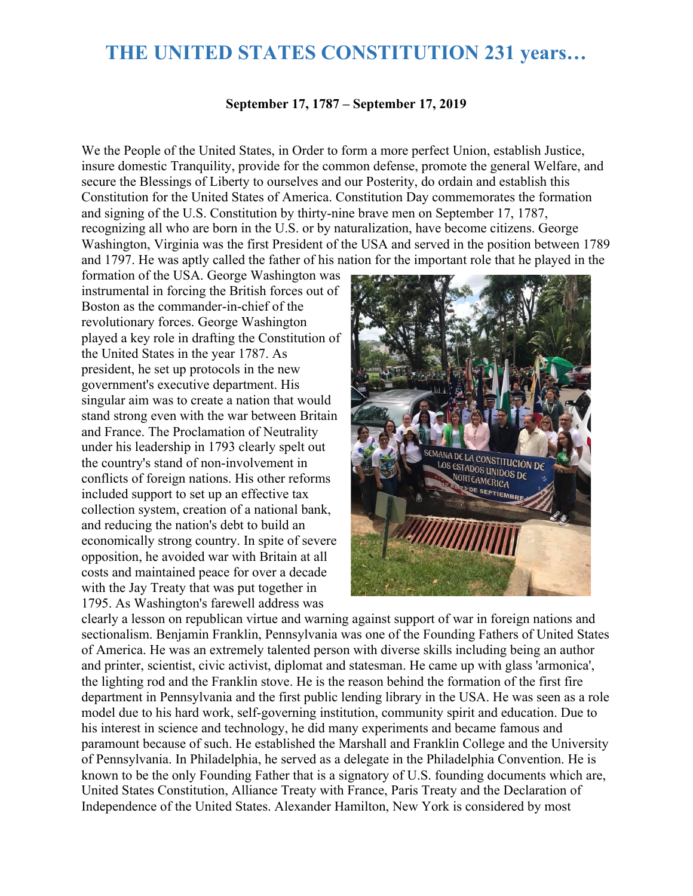## **THE UNITED STATES CONSTITUTION 231 years…**

## **September 17, 1787 – September 17, 2019**

We the People of the United States, in Order to form a more perfect Union, establish Justice, insure domestic Tranquility, provide for the common defense, promote the general Welfare, and secure the Blessings of Liberty to ourselves and our Posterity, do ordain and establish this Constitution for the United States of America. Constitution Day commemorates the formation and signing of the U.S. Constitution by thirty-nine brave men on September 17, 1787, recognizing all who are born in the U.S. or by naturalization, have become citizens. George Washington, Virginia was the first President of the USA and served in the position between 1789 and 1797. He was aptly called the father of his nation for the important role that he played in the

formation of the USA. George Washington was instrumental in forcing the British forces out of Boston as the commander-in-chief of the revolutionary forces. George Washington played a key role in drafting the Constitution of the United States in the year 1787. As president, he set up protocols in the new government's executive department. His singular aim was to create a nation that would stand strong even with the war between Britain and France. The Proclamation of Neutrality under his leadership in 1793 clearly spelt out the country's stand of non-involvement in conflicts of foreign nations. His other reforms included support to set up an effective tax collection system, creation of a national bank, and reducing the nation's debt to build an economically strong country. In spite of severe opposition, he avoided war with Britain at all costs and maintained peace for over a decade with the Jay Treaty that was put together in 1795. As Washington's farewell address was



clearly a lesson on republican virtue and warning against support of war in foreign nations and sectionalism. Benjamin Franklin, Pennsylvania was one of the Founding Fathers of United States of America. He was an extremely talented person with diverse skills including being an author and printer, scientist, civic activist, diplomat and statesman. He came up with glass 'armonica', the lighting rod and the Franklin stove. He is the reason behind the formation of the first fire department in Pennsylvania and the first public lending library in the USA. He was seen as a role model due to his hard work, self-governing institution, community spirit and education. Due to his interest in science and technology, he did many experiments and became famous and paramount because of such. He established the Marshall and Franklin College and the University of Pennsylvania. In Philadelphia, he served as a delegate in the Philadelphia Convention. He is known to be the only Founding Father that is a signatory of U.S. founding documents which are, United States Constitution, Alliance Treaty with France, Paris Treaty and the Declaration of Independence of the United States. Alexander Hamilton, New York is considered by most